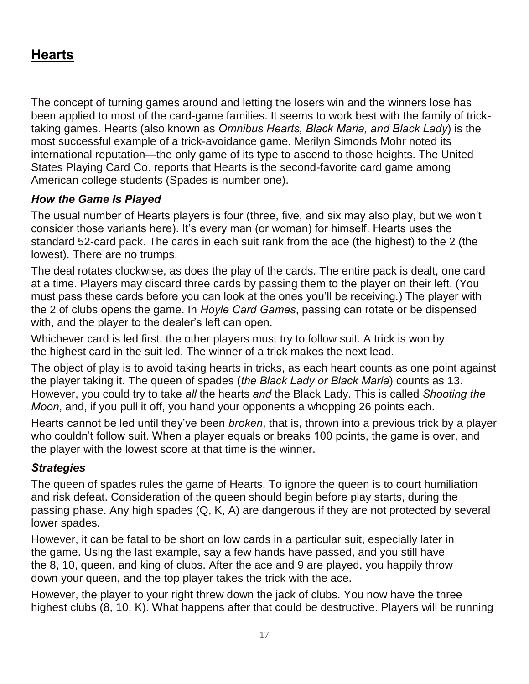## **Hearts**

The concept of turning games around and letting the losers win and the winners lose has been applied to most of the card-game families. It seems to work best with the family of tricktaking games. Hearts (also known as *Omnibus Hearts, Black Maria, and Black Lady*) is the most successful example of a trick-avoidance game. Merilyn Simonds Mohr noted its international reputation—the only game of its type to ascend to those heights. The United States Playing Card Co. reports that Hearts is the second-favorite card game among American college students (Spades is number one).

## *How the Game Is Played*

The usual number of Hearts players is four (three, five, and six may also play, but we won't consider those variants here). It's every man (or woman) for himself. Hearts uses the standard 52-card pack. The cards in each suit rank from the ace (the highest) to the 2 (the lowest). There are no trumps.

The deal rotates clockwise, as does the play of the cards. The entire pack is dealt, one card at a time. Players may discard three cards by passing them to the player on their left. (You must pass these cards before you can look at the ones you'll be receiving.) The player with the 2 of clubs opens the game. In *Hoyle Card Games*, passing can rotate or be dispensed with, and the player to the dealer's left can open.

Whichever card is led first, the other players must try to follow suit. A trick is won by the highest card in the suit led. The winner of a trick makes the next lead.

The object of play is to avoid taking hearts in tricks, as each heart counts as one point against the player taking it. The queen of spades (*the Black Lady or Black Maria*) counts as 13. However, you could try to take *all* the hearts *and* the Black Lady. This is called *Shooting the Moon*, and, if you pull it off, you hand your opponents a whopping 26 points each.

Hearts cannot be led until they've been *broken*, that is, thrown into a previous trick by a player who couldn't follow suit. When a player equals or breaks 100 points, the game is over, and the player with the lowest score at that time is the winner.

## *Strategies*

The queen of spades rules the game of Hearts. To ignore the queen is to court humiliation and risk defeat. Consideration of the queen should begin before play starts, during the passing phase. Any high spades (Q, K, A) are dangerous if they are not protected by several lower spades.

However, it can be fatal to be short on low cards in a particular suit, especially later in the game. Using the last example, say a few hands have passed, and you still have the 8, 10, queen, and king of clubs. After the ace and 9 are played, you happily throw down your queen, and the top player takes the trick with the ace.

However, the player to your right threw down the jack of clubs. You now have the three highest clubs (8, 10, K). What happens after that could be destructive. Players will be running